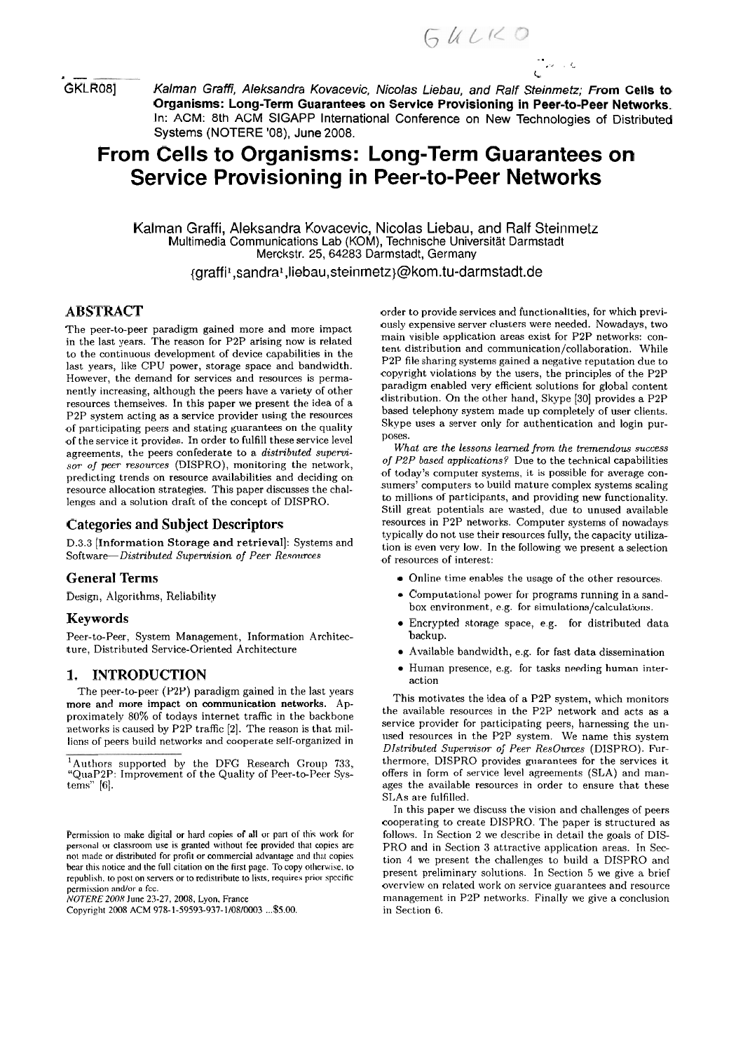. - **<sup>L</sup>** GKLR08J Kalman Graffi, Aleksandra Kovacevic, Nicolas Liebau, and Ralf Steinmetz; **From Cells to Organisms: Long-Term Guarantees on Service Provisioning in Peer-to-Peer Networks.**  In: ACM: 8th ACM SIGAPP International Conference on New Technologies of Distributed Systems (NOTERE '08), June 2008.

# **From Cells to Organisms: Long-Term Guarantees on Service Provisioning in Peer-to-Peer Networks**

Kalman Graffi, Aleksandra Kovacevic, Nicolas Liebau, and Ralf Steinmetz Multimedia Communications Lab (KOM), Technische Universität Darmstadt Merckstr. 25, 64283 Darmstadt, Germany

{graffil,sandral ,liebau,steinmetz)@kom.tu-darmstadt.de

# **ABSTRACT**

The peer-to-peer paradigm gained more and more impact in the last years. The reason for P2P arising now is related to the continuous development of device capabilities in the last years, like CPU power, storage space and bandwidth. However, the demand for services and resources is permanently increasing, although the peers have a variety of other resources themselves. In this paper we present the idea of a P2P system acting as a service provider using the resources of participating peers and stating guarantees on the quality of the service it provides. In order to fulfill these service level agreements, the peers confederate to a *distributed superuisor of peer resources* (DISPRO), monitoring the network, predicling trends on resource availabilities and deciding on resource allocation strategies. This paper discusses the challenges and a solution draft of the concept of DISPRO.

## **Categories and Subject Descriptors**

D.3.3 [Information Storage and retrieval]: Systems and Software-Distributed *Supervision of Peer Resources* 

## **General Terms**

Design, Algorithms, Reliability

#### **Keywords**

Peer-to-Peer, System Management, Information Architecture, Distributed Service-Oriented Architecture

## **1. INTRODUCTION**

The peer-to-peer (P2P) paradigm gained in the last years more and more impact on communication networks. Approximately 80% of todays internet traffic in the backbone networks is caused by P2P traffic [2]. The reason is that millions of peers build networks and cooperate self-organized in

*N07'ERE* 2008 Juiie **23-27, 2008.** Lyon. France

Copyriglii **2008** ACM 978-1-59593-937-1/08/0003 ... **\$5.00.** 

order to provide services and functionalities, for which previously expensive server clusters were needed. Nowadays, two main visible application areas exist for P2P networks: content distribution and communication/collaboration. While P2P file sharing systems gained a negative reputation due to copyright violations by the users, the principles of the P2P paradigm enabled very efficient solutions for global content distribution. On the other hand, Skype [30] provides a P2P based telephony system made up completely of user clients. Skype uses a server only for authentication and login purposes.

 $\frac{1}{2}$  and  $\frac{1}{2}$ 

*What are the lessons leamed fmm the tremendow success of P2P based applications?* Due to the technical capabilities of today's computer systems, it is possible for average consumers' computers to build mature complex systems scaling to millions of participants, and providing new functionality. Still great potentials are wasted, due to unused available resources in P2P networks. Computer systems of nowadays typically do not use their resources fully, the capacity utilization is even very low. In the following we present a selection of resources of interest:

- Online time enables the usage of the other resources.
- Computational power for programs running in a sandbox environment, e.g. for **simulations/calculations.**
- Encrypted storage space, e.g. for distributed data backup.
- Available bandwidth, e.g. for fast data dissemination
- Human presence, e.g. for tasks needing human interaction

This motivates the idea of a P2P system, which monitors the available resources in the P2P network and acts **as** a service provider for participating peers, harnessing the unused resources in the P2P system. We name this system *DIstributed Superuisor of Peer ResOurces* (DISPRO). Furthermore, DISPRO provides guarantees for the services it offers in form of service level agreements (SLA) and manages the available resources in order to ensure that these SI,As are fulfilled.

In this paper we discuss the vision and challenges of peers cooperating to create DISPRO. The paper is structured **nc**  follows. In Section 2 we describe in detail the goals of DIS-PRO and in Section **3** attractive application areas. In Section 4 we present the challenges to build a DISPRO and present preliminary solutions. In Section *5* we give a brief ovcrview on rclated work on service guarantees and resource rnanagement in P2P networks. Finally we give a conclusion in Section G.

 $^{1}$ Authors supported by the DFG Research Group 733, "QiiaP2P: Improvement of the Quality of Peer-to-Peer Systems" [G].

Permission to make digital or hard copies of all or part of this work for personal or classroom use is granted without fee provided that copies are not made or distributed for profit or commercial advantage and that copies bear this notice and the full citation on the first page. To copy otherwise, to republish. to post on servers or to redistribute to lists, requires prior specific permission and/or a fee.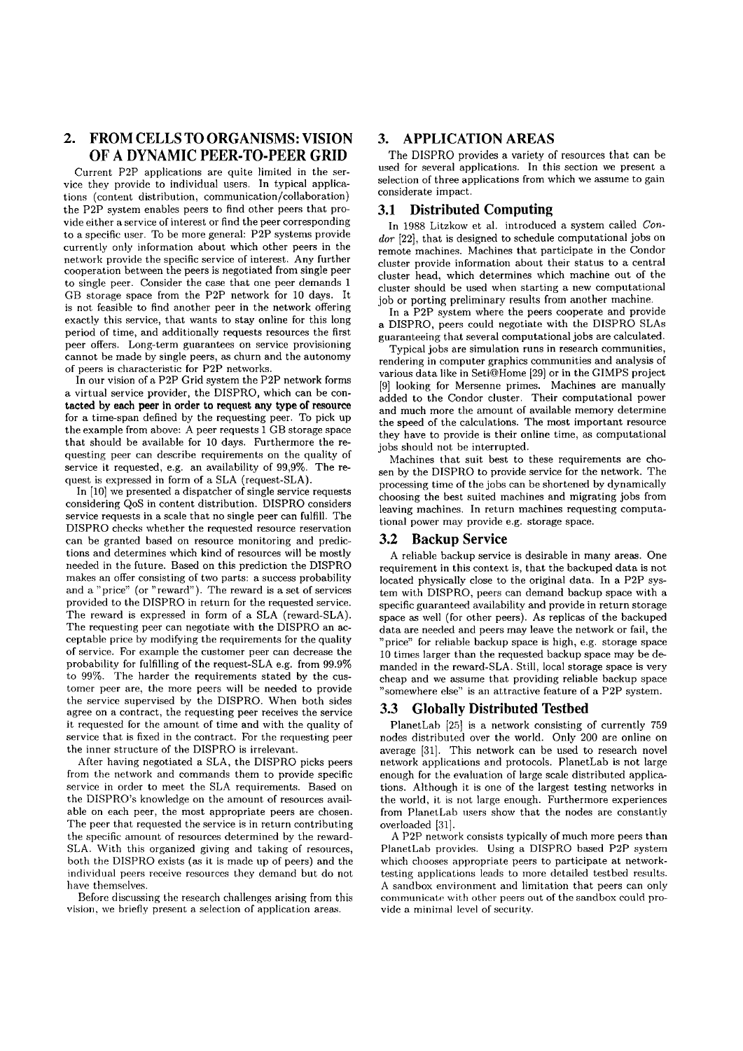# **2. FROM CELLS T0 ORGANISMS: VISION OF A DYNAMIC PEER-TO-PEER GRID**

Current P2P applications are quite limited in the service they provide to individual users. In typical applications (content distribution, communication/collaboration) the P2P system enables peers to find other peers that provide either a service of interest or find the peer corresponding to a specific user. To be more general: P2P Systems provide currently only information about which other peers in the network provide the specific service of interest. Any further cooperation between the peers is negotiated from single peer to single peer. Consider the case that one peer demands 1 GB storage space from the P2P network for 10 days. It is not feasible to find another peer in the network offering exactly this service, that wants to stay online for this long period of time, and additionally requests resources the first peer offers. Long-term guarantees on service provisioning cannot be made by single peers, as churn and the autonomy of peers is characteristic for P2P networks.

In our vision of a P2P Grid system the P2P network forms a virtual service provider, the DISPRO, which can be contacted by each peer in order to request any type of resource for a time-span defined by the requesting peer. To pick up the example from above: A peer requests 1 GB storage space that should be available for 10 days. Furthermore the requesting peer can describe requirements on the quality of service it requested, e.g. an availability of 99,9%. The request is expressed in form of a SLA (request-SLA).

In [10] we presented a dispatcher of single service requests considering QoS in content distribution. DISPRO considers service requests in a scale that no single peer can fulfill. The DISPRO checks whether the requested resource reservation can be granted based on resource monitoring and predictions and determines which kind of resources will be mostly needed in the future. Based on this prediction the DISPRO makes an offer consisting of two parts: a success probability and a " price" (or "reward"). The reward is a set of services provided to the DISPRO in return for the requested service. The reward is expressed in form of a SLA (reward-SLA). The requesting peer can negotiate with the DISPRO an acceptable price by modifying the requirements for the quality of service. For example the customer peer can decrease the probability for fulfilling of the request-SLA e.g. from 99.9% to 99%. The harder the requirements stated by the customer peer are, the more peers will be needed to provide the service supervised by the DISPRO. When both sides agree on a contract, the requesting peer receives the service it requested for the amount of time and with the quality of service that is fixed in the contract. For the requesting peer the inner structure of the DISPRO is irrelevant.

After having negotiated a SLA, the DISPRO picks peers from the network and commands them to provide specific service in order to meet the SLA requirements. Based on the DISPRO's knowledge on the amount of resources available on each peer, the most appropriate peers are chosen. The peer that requested the service is in return contributing the specific amount of resources determined by the reward-SLA. With this organized giving and taking of resources, both the DISPRO exists (as it is made up of peers) and the individual peers receive resources they demand but do not have themselves.

Before discussing the research challenges arising from this vision, we briefly present a selection of application areas.

## **3. APPLICATION AREAS**

The DISPRO provides a variety of resources that can be used for several applications. In this section we present a selection of three applications from which we assume to gain considerate impact.

#### **3.1 Distributed Computing**

In 1988 Litzkow et al. introduced a system called *Con*dor [22], that is designed to schedule computational jobs on remote machines. Machines that participate in the Condor cluster provide information about their status to a central cluster head, which determines which machine out of the cluster should be used when starting a new computational job or porting preliminary results from another machine.

In a P2P system where the peers cooperate and provide a DISPRO, peers could negotiate with the DISPRO SLAs guaranteeing that several computational jobs are calculated.

Typical jobs are simulation runs in research communities, rendering in Computer graphics communities and analysis of various data like in SetiQHome [29] or in the GIMPS project [9] looking for Mersenne primes. Machines are manually added to the Condor cluster. Their computational power and much more the amount of available memory determine the speed of the calculations. The most important resource they have to provide is their online time, as computational jobs should not be interrupted.

Machines that suit best to these requirements are chosen by the DISPRO to provide service for the network. The processing time of the jobs can be shortened by dynamically choosing the best suited machines and migrating jobs from leaving machines. In return machines requesting computational power may provide e.g. storage space.

#### **3.2 Backup Service**

A reliable backup service is desirable in many areas. One requirement in this context is, that the backuped data is not located physically close to the original data. In a P2P system with DISPRO, peers can demand backup space with a specific guaranteed availability and provide in return storage space as well (for other peers). As replicas of the backuped data are needed and peers may leave the network or fail, the "price" for reliable backup space is high, e.g. storage space 10 times larger than the requested backup space may be demanded in the rcward-SLA. Still, local storage space is very cheap and we assume that providing reliable backup space "somewhere else" is an attractive feature of a P2P system.

# **3.3 Globally Distributed Testbed**

PlanetLab **1251** is a network consisting of currently 759 nodes distributed over the world. Only 200 are online on average [31]. This network can be used to research novel network applications and protocols. PlanetLab is not large enough for the evaluation of large scale distributed applications. Although it is one of the largest testing networks in the world, it is not large enough. Furthermore experiences from PlanetLab users show that the nodes are constantly overloaded [31].

A P2P network consists typically of much more peers than PlanetLab provides. Using a DISPRO based P2P system which chooses appropriate peers to participate at networktesting applications leads to inore detailed testbed results. A sandbox environment and limitation that peers can only communicate with other peers out of the sandbox could provide a minimal level of security.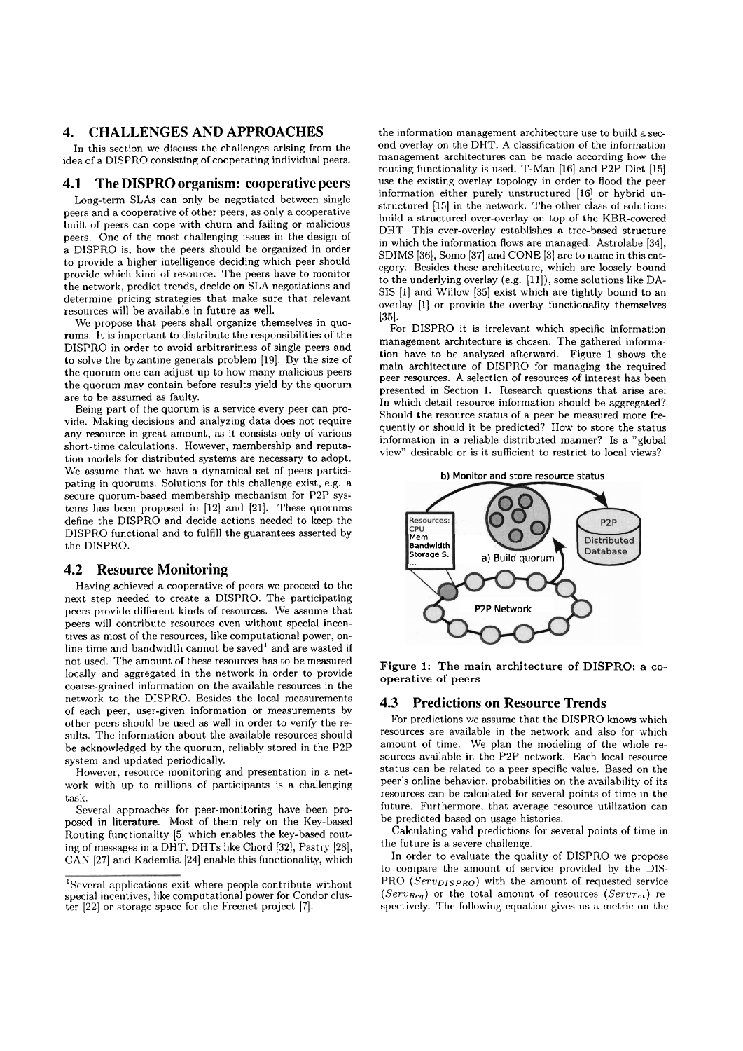# **4. CHALLENGES AND APPROACHES**

In this section we discuss the challenges arising from the idea of a DISPRO consisting of cooperating individual peers.

## **4.1 The DISPRO organism: cooperative peers**

Long-term SLAs can only be negotiated between single peers and a cooperative of other peers, as only a cooperative built of peers can cope with churn and failing or malicious peers. One of the most challenging issues in the design of a DISPRO is, how the peers should be organized in order to provide a higher intelligence deciding which peer should provide which kind of resource. The peers have to monitor the network, predict trends, decide on SLA negotiations and determine pricing strategies that make sure that relevant resources will be available in future as well.

We propose that peers shall organize themselves in quorums. It is important to distribute the responsibilities of the DISPRO in order to avoid arbitrariness of single peers and to solve the byzantine generals problem [19]. By the size of the quorum one can adjust up to how many malicious peers the quorum may contain before results yield by the quorum are to be assumed as faulty.

Being part of the quorum is a service every peer can provide. Making decisions and analyzing data does not require any resource in great amount, as it consists only of various short-time calculations. However, membership and reputation models for distributed systems are necessary to adopt. We assume that we have a dynamical set of peers participating in quorums. Solutions for this challenge exist, e.g. a secure quorum-based membership mechanism for P2P systems has been proposed in  $[12]$  and  $[21]$ . These quorums define the DISPRO and decide actions needed to keep the DISPRO functional and to fulfill the guarantees asserted by the DISPRO.

#### **4.2 Resource Monitoring**

Having achieved a cooperative of peers we proceed to the next. step needed to create a DISPRO. The participating peers provide different kinds of resources. We assume that peers will contribute resources even without special incentives as most of the resources, like computational power, online time and bandwidth cannot be saved<sup>1</sup> and are wasted if not used. The amount of these resources has to be measured locally and aggregated in the network in order to provide coarse-grained information on the available resources in the network to the DISPRO. Besides the local measurements of each peer, user-given information or measurements by other peers should be used as well in order to verify the results. The information about the available resources should be acknowledged by the quorum, reliably stored in the P2P system and updated periodically.

However, resource monitoring and presentation in a network with up to millions of participants is a challenging task.

Several approaches for peer-monitoring have been proposed in literature. Most of them rely on the Key-based Routing functionality [5] which enables the key-based routing of messages in **a** DHT. DHTs like Chord [32], Pastry [2S]> CAN [27] and Kademlia [24] enable this functionality, which

the information management architecture use to build a second overlay on the DHT. A classification of the information management architectures can be made according how the routing functionality is used. T-Man [16] and P2P-Diet [15] use the existing overlay topology in order to flood the peer information either purely unstructured [lG] or hybrid unstructured [15] in the network. The other class of solutions build a structured over-overlay on top of the KBR-covered DHT. This over-overlay establishes a tree-based structure in which the information flows are managed. Astrolabe [34], SDIMS [36], Somo [37] and CONE [3] are to name in this category. Besides these architecture, which are loosely bound to the underlying overlay (e.g. [ll]), some solutions like DA-SIS [l] and Willow [35] exist which are tightly bound to an overlay [I] or provide the overlay functionality themselves i351.

For DISPRO it is irrelevant which specific information management architecture is chosen. The gathered information have to be analyzed afterward. Figure 1 shows the main architecture of DISPRO for managing the required peer resources. **A** selection of resources of interest has been presented in Section 1. Research questions that arise are: In which detail resource information should be aggregated? Should the resource status of a peer be measured more frequently or should it be predicted? How to store the status information in a reliable distributed manner? 1s a "global view" desirable or is it sufficient to restrict to local views?



Figure **1:** The main architecture of **DISPRO:** a cooperative of peers

#### **4.3 Predictions on Resource Trends**

For predictions we assume that the DISPRO knows which resources are available in the network and also for which amount of time. We plan the modeling of the whole resources available in the P2P network. Each local resource status can be related to a peer specific value. Based on the peer's online behavior, probabilities on the availability of its resources can be calculated for several points of time in the future. Furthermore, that average resource utilization can be predicted based on usage histories.

Calculating valid predictions for several points of time in the future is a severe challenge.

In order to evaluate the quality of DISPRO we propose to compare the amount of service provided by the DIS-PRO (Serv<sub>DISPRO</sub>) with the amount of requested service  $(Serv_{Req})$  or the total amount of resources  $(Serv_{Tot})$  respectively. The following equation gives us a metric on the

 ${}^{1}$ Several applications exit where people contribute without special incentives, like computational power for Condor cluster [22] or storage space for the Freenet project [7].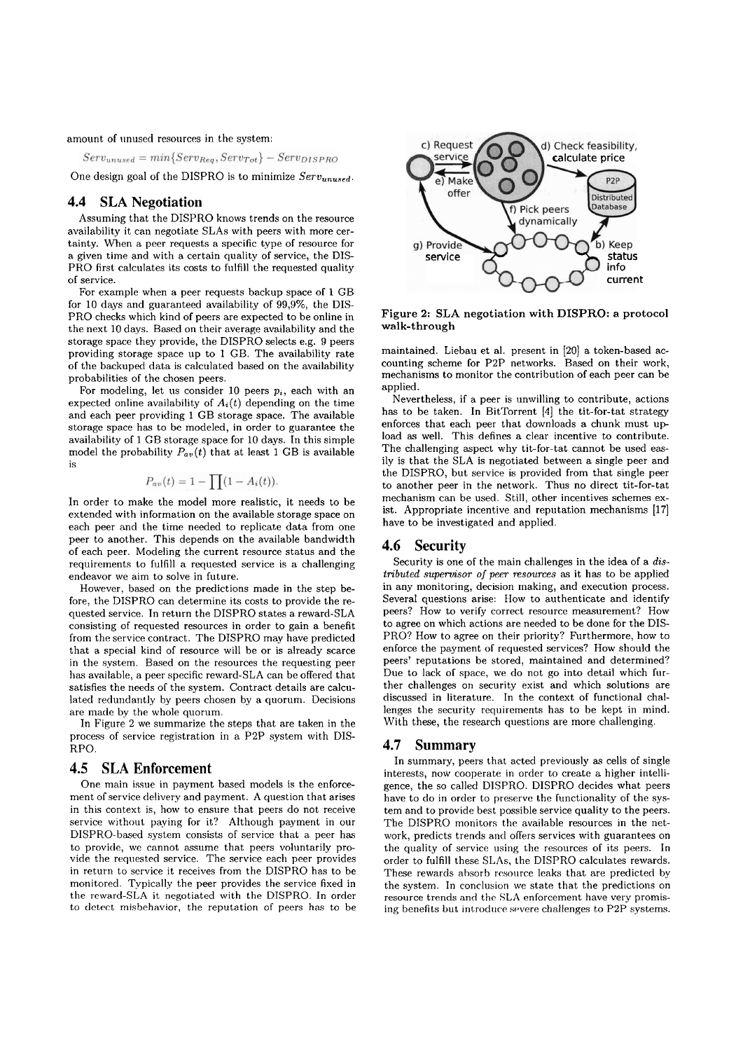amount of unused resources in the system:

 $Serv_{unused} = min\{Serv_{Rea}, Serv_{Tot}\} - Serv_{DISPRO}$ 

One design goal of the DISPRO is to minimize  $Serv_{unused}$ .

#### **4.4 SLA Negotiation**

Assuming that the DISPRO knows trends on the resource availability it can negotiate SLAs with peers with more certainty. When a peer requests a specific type of resource for a given time and with a certain quality of service, the DIS-PRO first calculates its costs to fulfill the requested quality of service.

For example when a peer requests backup space of 1 GB for 10 days and guaranteed availability of 99,9%, the DIS-PRO checks which kind of peers are expected to be online in the next 10 days. Based on their average availability and the storage space they provide, the DISPRO selects e.g. 9 peers providing storage space up to 1 GB. The availability rate of the backupecl data is calculated based on the availability probabilities of the chosen peers.

For modeling, let us consider 10 peers  $p_i$ , each with an expected online availability of  $A_i(t)$  depending on the time and each peer providing 1 GB storage space. The available storage space has to be modeled, in order to guarantee the availability of 1 GB storage space for 10 days. In this simple model the probability  $P_{av}(t)$  that at least 1 GB is available is

$$
P_{av}(t)=1-\prod(1-A_i(t)).
$$

In order to make the model more realistic, it needs to be extended with information on the available storage space on each peer and the time needed to replicate data from one peer to another. This depends on the available bandwidth of each peer. Modeling the current resource status and the requirements to fulfill a requested service is a challenging endeavor we aim to solve in future.

However, based on the predictions made in the step before, the DISPRO can determine its costs to provide the requested service. In return the DISPRO states a reward-SLA consisting of requested resources in order to gain a benefit from the service contract. The DISPRO may have predicted that a special kind of resource will be or is already scarce in the system. Based on the resources the requesting peer has available, a peer specific reward-SLA can be offered that satisfies the needs of the system. Contract details are calculated redundantly by peers chosen by a quorum. Decisions are made by the whole quorum.

In Figure 2 we summarize the steps that are taken in the process of service registration in a P2P system with DIS-RPO.

#### **4.5 SLA Enforcement**

One main issue in payment based models is the enforcement of service clelivery and payment. **A** question that arises in this context is, how to ensure that peers do not receive service withoul paying for it? Although payment in our DISPRO-based system consists of service that a peer has to provide, we cannot assume that peers voluntarily provide the requested service. The service each peer provides in return to scrvice it receives from the DISPRO has to be monitorecl. Typically the peer provides the service fixed in the reward-SLA it negotiated with the DISPRO. In order to detect misbehavior, the reputation of peers has to be



Figure 2: SLA negotiation with **DISPRO:** a protocol walk-through

maintained. Liebau et al. present in [20] a token-based accounting scheme for P2P networks. Based on their work, mechanisms to monitor the contribution of each peer can be applied.

Nevertheless, if a peer is unwilling to contribute, actions has to be taken. In BitTorrent [4] the tit-for-tat strategy enforces that each peer that downloads a chunk must ug load as well. This defines a clear incentive to contribute. The challenging aspect why tit-for-tat cannot be used easily is that the SLA is negotiated between a single peer and the DISPRO, but service is provided from that single peer to another peer in the network. Thus no direct tit-for-tat mechanism can be used. Still, other incentives schemes exist. Appropriate incentive and reputation mechanisms [17] have to be investigated and applied.

#### **4.6 Security**

Security is one of the main challenges in the idea of a *dislribuled supenrisor* oj *peer resources* as it has to be applied in any monitoring, decision making, and execution process. Several questions arise: How to authenticate and identifj peers? How to verify correct resource measurement? How to agree on which actions are needed to be done for the DIS-PRO? How to agree on their priority? Furthermore, how to enforce the payment of requested services? How should the peers' reputations be stored, maintained and determined? Due to lack of space, we do not go into detail which further challenges on security exist and which solutions are discussed in literature. In the context of functional challenges the security requirements has to be kept in mind. With these, the research questions are more challenging.

#### **4.7 Summary**

In Summary, peers that acted previously as cells of single interests, now cooperate in order to create a higher intelligence, the so called DISPRO. DISPRO decides what peers have to do in order to preserve the functionality of the system and to provide best possible service quality to the peers. The DISPRO monitors the available resources in the network, predicts trends and offers services with guarantees on the quality of service using the resources of its peers. In order to fulfill these SLAs, the DISPRO calculates rewards. These rewards absorb resource leaks that are predicted by the system. In conclusion we state that the predictions on resource trends and the SLA enforcement have very promising benefits but introduce severe challenges to P2P systems.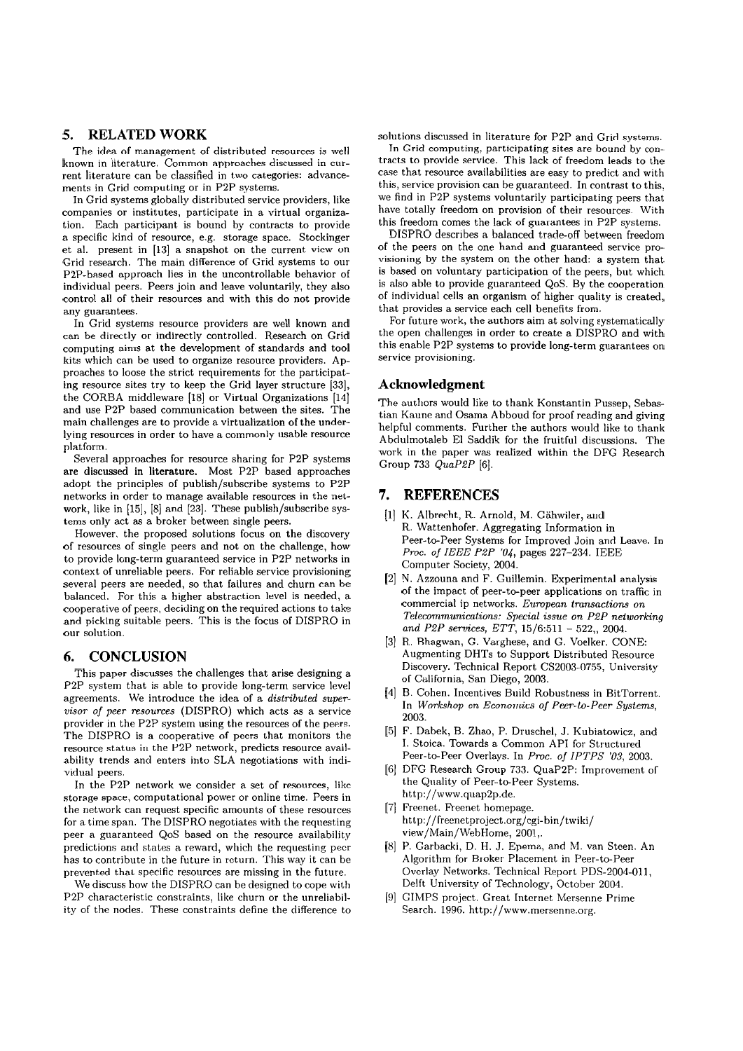# **5. RELATED WORK**

The idea of management of distributed resources is well known in literature. Common approaches discussed in current literature can be classified in two categories: advancements in Grid computing or in P2P systems.

In Grid systems globally distributed service providers, like companies or institutes, participate in a virtual organization. Each participant is bound by contracts to provide a specific kind of resource, e.g. storage space. Stockinger et al. present in [13] a snapshot on the current view on Grid research. The main difference of Grid systems to our P2P-based approach lies in the uncontrollable behavior of individual peers. Peers join and leave voluntarily, they also control all of their resources and with this do not provide any guarantees.

In Grid systems resource providers are well known and can be directly or indirectly controlled. Research on Grid computing aims at the development of Standards and tool kits which can be used to organize resource providers. Approaches to loose the strict requirements for the participating resource sites try to keep the Grid layer structure (331, the CORBA middleware [18] or Virtual Organizations [14] and use P2P based communication between the sites. The main challenges are to provide a virtualization of the underlying resources in order to have a commonly usable resource platform.

Several approaches for resource sharing for P2P systems are discussed in literature. Most P2P based approaches adopt the principles of publish/subscribe systems to P2P networks in order to manage available resources in the network, like in  $[15]$ ,  $[8]$  and  $[23]$ . These publish/subscribe systems only act as a broker between single peers.

However, the proposed solutions focus on the discovery of resources of single peers and not on the challenge, how to provide long-term guaranteed service in P2P networks in context of unreliable peers. For reliable service provisioning several peers are needed, so that failures and churn can be balanced. For this a higher abstraction level is needed, a cooperative of peers, deciding on the required actions to take and picking suitable peers. This is the focus of DISPRO in our solution.

# **6. CONCLUSION**

This paper discusses the challenges that arise designing a P2P system that is able to provide long-term service level agreements. We introduce the idea of a *distributed supervisor oj peer resources* (DISPRO) which acts **as** a service provider in the P2P system using the resources of the peers. The DISPRO is a cooperative of peers that monitors the resource status in the P2P network, predicts resource availability trends and enters into SLA negotiations with individual peers.

In the P2P network we consider a set of resources, like storage space, computational power or online time. Peers in the network can request specific amounts of these resources for a time span. The DISPRO negotiates with the requesting peer a guaranteed QoS based on the resource availability predictions and states **a** reward, wliich the requesting peer has to contribute in the future in return. This way it can be prevented that specific resources are missing in the future.

We discuss how the DISPRO can be designed to cope with P2P characteristic constraints, like churn or the unreliability of the nodes. These constraints define the difference to solutions discussed in literature for P2P and Grid systems.

In Grid computing, participating sites are bound by contracts to provide service. This lack of freedom leads to the case that resource availabilities are easy to predict and with this, service provision can be guaranteed. In contrast to this, we find in P2P systems voluntarily participating peers that have totally freedom on provision of their resources. With this freedom Comes the lack of guarantees in P2P systems.

DISPRO describes a balanced trade-off between freedom of the peers on the one hand and guaranteed service provisioning by the system on the other hand: a system that is based on voluntary participation of the peers, but which is also able to provide guaranteed QoS. By the cooperation of individual cells an organism of higher quality is created, that provides a service each cell benefits from.

For future work, the authors aim at solving systematically the Open challenges in order to create a DISPRO and with this enable P2P systems to provide long-term guarantees On service provisioning.

## **Acknowledgment**

The authors would like to thank Konstantin Pussep, Sebastian Kaune and Osama Abboud for proof reading and giving helpful comments. Further the authors would like to thank Abdulmotaleb EI Saddik for the fruitful discussions. The work in the paper was realized within the DFG Research Group 733 *QuaP2P* [6].

#### **7. REFERENCES**

- (11 K. Albrecht, R. Arnold, M. Gähwiler, and R. Wattenhofer. Aggregating Information in Peer-to-Peer Systems for Improved Join and Leave. In *Proc. of IEEE P2P* '04, pages 227-234. IEEE Computer Society, 2004.
- (21 N. Azzouna and F. Guillemin. Experimental analysis of the impact of peer-to-peer applications on traffic in comrnercial ip networks. *Eumpean tmnsactions on Telecommunications: Special issue on P2P nelworking*  and P2P services, ETT, 15/6:511 - 522, 2004.
- [3] R. Bhagwan, G. Varghese, and G. Voelker. CONE: Augmenting DHTs to Support Distributed Resource Discovery. Technical Report CS2003-0755, University of California, San Diego, 2003.
- 141 B. Cohen. Incentives Build Robustness in BitTorrent. In *Workshop on Economics of Peer-to-Peer Systems,*  2003.
- [5] F. Dabek, B. Zhao, P. Druschel, J. Kubiatowicz, and I. Stoica. Towards a Common API for Structured Peer-to-Peer Overlays. In *Proc. oj IPTPS '03,* 2003.
- [G] DFG Research Group 733. QuaP2P: Improvement of the Quality of Peer-to-Peer Systems. http://www.quap2p.de.
- [7] Freenet. Freenet homepage. **http://freenetproject.org/cgi-bin/twiki/**  view/Main/WebHome, 2001,.
- [8] P. Garbacki, D. H. J. Epema, and M. van Steen. An Algorithm for Broker Placement in Peer-to-Peer Overlay Networks. Technical Report PDS-2004-011, Delft University of Technology, October 2004.
- (91 GIMPS project. Great Intcrnet Mersenne Prime Search. 1996. http://www.mersenne.org.